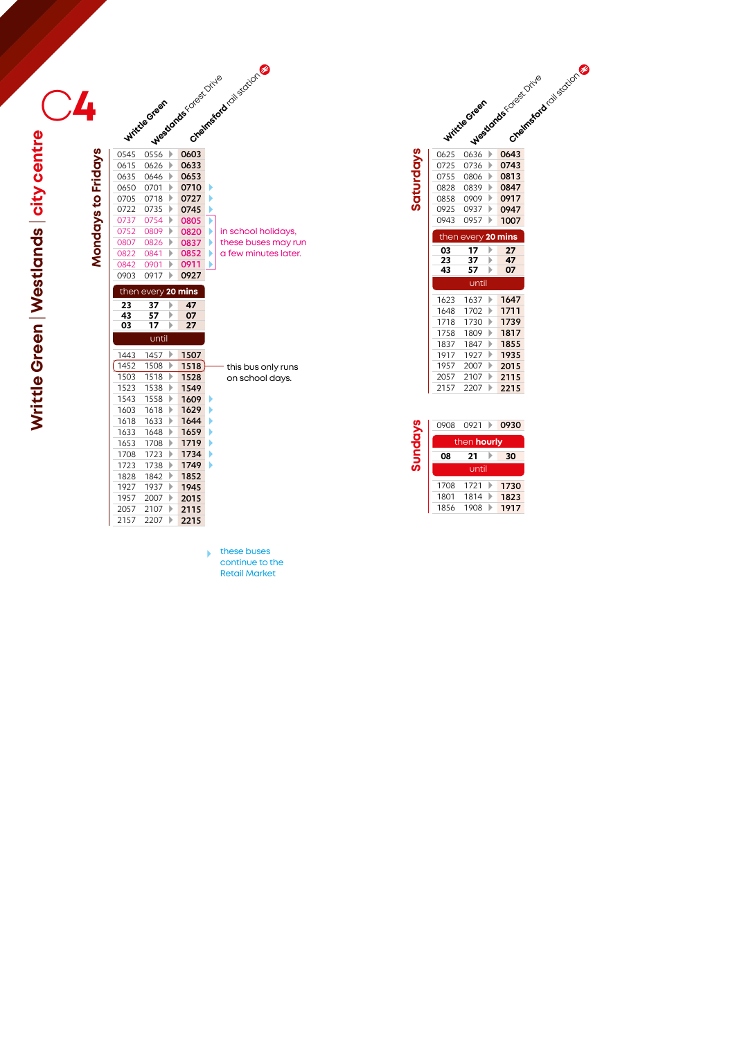|                    |      | 15 OFT Medicates Coloring |      | Chelmesod (oliscoton)                 |
|--------------------|------|---------------------------|------|---------------------------------------|
|                    |      |                           |      |                                       |
|                    |      |                           |      |                                       |
|                    | 0545 |                           |      |                                       |
|                    | 0615 |                           |      |                                       |
|                    | 0635 | 0646<br>Þ                 | 0653 |                                       |
| Mondays to Fridays | 0650 | 0701<br>Þ                 | 0710 | Þ                                     |
|                    | 0705 | 0718<br>Þ                 | 0727 | Þ                                     |
|                    | 0722 | 0735<br>Þ                 | 0745 | Þ                                     |
|                    | 0737 | 0754<br>Þ                 | 0805 | ▶                                     |
|                    | 0752 | 0809<br>Þ                 | 0820 | Þ<br>in school holidays,              |
|                    | 0807 | 0826<br>Þ                 | 0837 | these buses may run<br>Þ              |
|                    | 0822 | 0841<br>Þ                 | 0852 | a few minutes later.<br>Þ             |
|                    | 0842 | 0901<br>Þ                 | 0911 | Þ                                     |
|                    | 0903 | 0917<br>Þ                 | 0927 |                                       |
|                    |      | then every 20 mins        |      |                                       |
|                    | 23   | 37<br>Þ                   | 47   |                                       |
|                    | 43   | 57<br>Þ                   | 07   |                                       |
|                    | 03   | 17<br>Þ                   | 27   |                                       |
|                    |      | until                     |      |                                       |
|                    | 1443 | 1457<br>Þ                 | 1507 |                                       |
|                    | 1452 | 1508<br>Þ                 | 1518 |                                       |
|                    | 1503 | 1518<br>Þ                 | 1528 | this bus only runs<br>on school days. |
|                    | 1523 | 1538<br>Þ                 | 1549 |                                       |
|                    | 1543 | 1558<br>Þ                 | 1609 | Þ                                     |
|                    | 1603 | 1618<br>Þ                 | 1629 | Þ                                     |
|                    | 1618 | 1633<br>Þ                 | 1644 | Þ                                     |
|                    | 1633 | 1648<br>Þ                 | 1659 | Þ                                     |
|                    | 1653 | 1708<br>Þ                 | 1719 | Þ                                     |
|                    | 1708 | 1723<br>Þ                 | 1734 | Þ                                     |
|                    | 1723 | 1738<br>Þ                 | 1749 | Ь                                     |
|                    | 1828 | Þ<br>1842                 | 1852 |                                       |
|                    | 1927 | 1937<br>Þ                 | 1945 |                                       |
|                    | 1957 | 2007<br>Þ                 | 2015 |                                       |
|                    | 2057 | 2107<br>Þ                 | 2115 |                                       |
|                    | 2157 | Þ<br>2207                 | 2215 |                                       |

|                  |      | Witchestreen       |   | Westone Association | Creamsdock collectors |
|------------------|------|--------------------|---|---------------------|-----------------------|
|                  | 0625 | 0636               | Þ | 0643                |                       |
|                  | 0725 | 0736               | Þ | 0743                |                       |
|                  | 0755 | 0806               | Þ | 0813                |                       |
|                  | 0828 | 0839               | Þ | 0847                |                       |
| <b>Saturdays</b> | 0858 | 0909               | Þ | 0917                |                       |
|                  | 0925 | 0937               | Þ | 0947                |                       |
|                  | 0943 | 0957               | Þ | 1007                |                       |
|                  |      | then every 20 mins |   |                     |                       |
|                  | 03   | 17                 | Þ | 27                  |                       |
|                  | 23   | 37                 | Þ | 47                  |                       |
|                  | 43   | 57                 | Þ | 07                  |                       |
|                  |      |                    |   |                     |                       |
|                  |      | until              |   |                     |                       |
|                  | 1623 | 1637               | Þ | 1647                |                       |
|                  | 1648 | 1702               | Þ | 1711                |                       |
|                  | 1718 | 1730               | Þ | 1739                |                       |
|                  | 1758 | 1809               | Þ | 1817                |                       |
|                  | 1837 | 1847               | Þ | 1855                |                       |
|                  | 1917 | 1927               | Þ | 1935                |                       |
|                  | 1957 | 2007               | Þ | 2015                |                       |
|                  | 2057 | 2107               | Þ | 2115                |                       |
|                  | 2157 | 2207               | Þ | 2215                |                       |
|                  |      |                    |   |                     |                       |
|                  | 0908 | 0921               |   | 0930                |                       |
|                  |      |                    |   |                     |                       |
|                  |      | then hourly        |   |                     |                       |
| Sundays          | 08   | 21<br>until        | Þ | 30                  |                       |

1708 1721 1730 1801 1814 **1823** 1856 1908 **1917** 

these buses continue to the Retail Market

**Writtle Green** | **Westlands** | **city centre** C Writtle Green | Westlands | city centre **CALL | CONTENDITION**